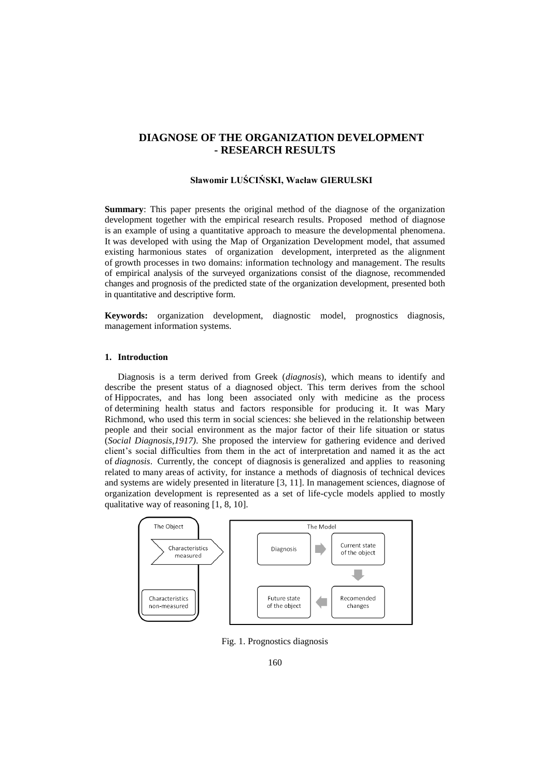# **DIAGNOSE OF THE ORGANIZATION DEVELOPMENT - RESEARCH RESULTS**

# **Sławomir LUŚCIŃSKI, Wacław GIERULSKI**

**Summary**: This paper presents the original method of the diagnose of the organization development together with the empirical research results. Proposed method of diagnose is an example of using a quantitative approach to measure the developmental phenomena. It was developed with using the Map of Organization Development model, that assumed existing harmonious states of organization development, interpreted as the alignment of growth processes in two domains: information technology and management. The results of empirical analysis of the surveyed organizations consist of the diagnose, recommended changes and prognosis of the predicted state of the organization development, presented both in quantitative and descriptive form.

**Keywords:** organization development, diagnostic model, prognostics diagnosis, management information systems.

### **1. Introduction**

Diagnosis is a term derived from Greek (*diagnosis*), which means to identify and describe the present status of a diagnosed object. This term derives from the school of Hippocrates, and has long been associated only with medicine as the process of determining health status and factors responsible for producing it. It was Mary Richmond, who used this term in social sciences: she believed in the relationship between people and their social environment as the major factor of their life situation or status (*Social Diagnosis,1917)*. She proposed the interview for gathering evidence and derived client's social difficulties from them in the act of interpretation and named it as the act of *diagnosis*. Currently, the concept of diagnosis is generalized and applies to reasoning related to many areas of activity, for instance a methods of diagnosis of technical devices and systems are widely presented in literature [3, 11]. In management sciences, diagnose of organization development is represented as a set of life-cycle models applied to mostly qualitative way of reasoning [1, 8, 10].



Fig. 1. Prognostics diagnosis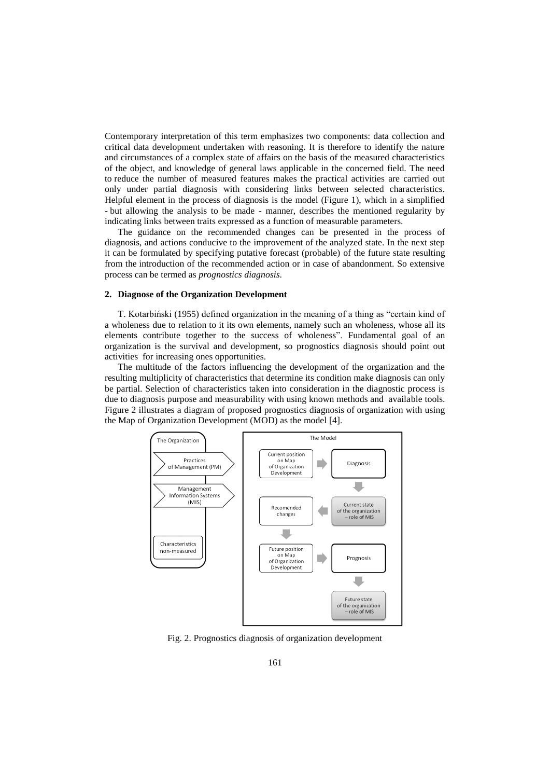Contemporary interpretation of this term emphasizes two components: data collection and critical data development undertaken with reasoning. It is therefore to identify the nature and circumstances of a complex state of affairs on the basis of the measured characteristics of the object, and knowledge of general laws applicable in the concerned field. The need to reduce the number of measured features makes the practical activities are carried out only under partial diagnosis with considering links between selected characteristics. Helpful element in the process of diagnosis is the model (Figure 1), which in a simplified - but allowing the analysis to be made - manner, describes the mentioned regularity by indicating links between traits expressed as a function of measurable parameters.

The guidance on the recommended changes can be presented in the process of diagnosis, and actions conducive to the improvement of the analyzed state. In the next step it can be formulated by specifying putative forecast (probable) of the future state resulting from the introduction of the recommended action or in case of abandonment. So extensive process can be termed as *prognostics diagnosis*.

#### **2. Diagnose of the Organization Development**

T. Kotarbiński (1955) defined organization in the meaning of a thing as "certain kind of a wholeness due to relation to it its own elements, namely such an wholeness, whose all its elements contribute together to the success of wholeness". Fundamental goal of an organization is the survival and development, so prognostics diagnosis should point out activities for increasing ones opportunities.

The multitude of the factors influencing the development of the organization and the resulting multiplicity of characteristics that determine its condition make diagnosis can only be partial. Selection of characteristics taken into consideration in the diagnostic process is due to diagnosis purpose and measurability with using known methods and available tools. Figure 2 illustrates a diagram of proposed prognostics diagnosis of organization with using the Map of Organization Development (MOD) as the model [4].



Fig. 2. Prognostics diagnosis of organization development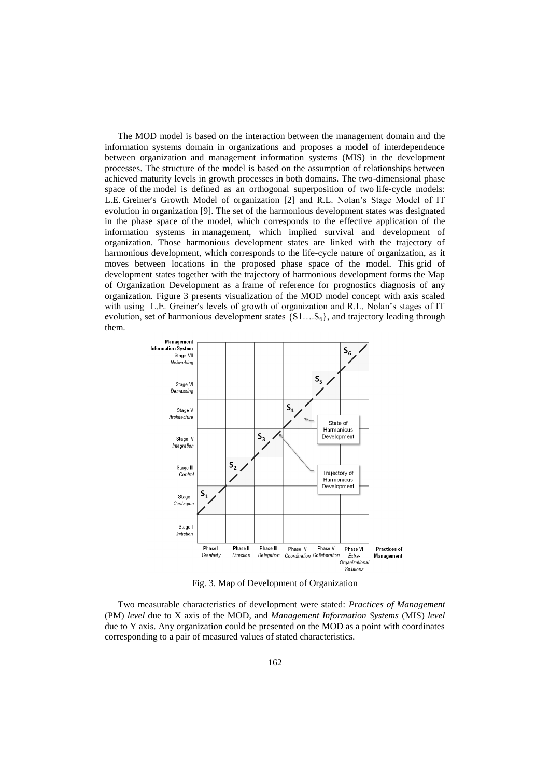The MOD model is based on the interaction between the management domain and the information systems domain in organizations and proposes a model of interdependence between organization and management information systems (MIS) in the development processes. The structure of the model is based on the assumption of relationships between achieved maturity levels in growth processes in both domains. The two-dimensional phase space of the model is defined as an orthogonal superposition of two life-cycle models: L.E. Greiner's Growth Model of organization [2] and R.L. Nolan's Stage Model of IT evolution in organization [9]. The set of the harmonious development states was designated in the phase space of the model, which corresponds to the effective application of the information systems in management, which implied survival and development of organization. Those harmonious development states are linked with the trajectory of harmonious development, which corresponds to the life-cycle nature of organization, as it moves between locations in the proposed phase space of the model. This grid of development states together with the trajectory of harmonious development forms the Map of Organization Development as a frame of reference for prognostics diagnosis of any organization. Figure 3 presents visualization of the MOD model concept with axis scaled with using L.E. Greiner's levels of growth of organization and R.L. Nolan's stages of IT evolution, set of harmonious development states  $\{S1...S_6\}$ , and trajectory leading through them.



Fig. 3. Map of Development of Organization

Two measurable characteristics of development were stated: *Practices of Management*  (PM) *level* due to X axis of the MOD, and *Management Information Systems* (MIS) *level* due to Y axis. Any organization could be presented on the MOD as a point with coordinates corresponding to a pair of measured values of stated characteristics.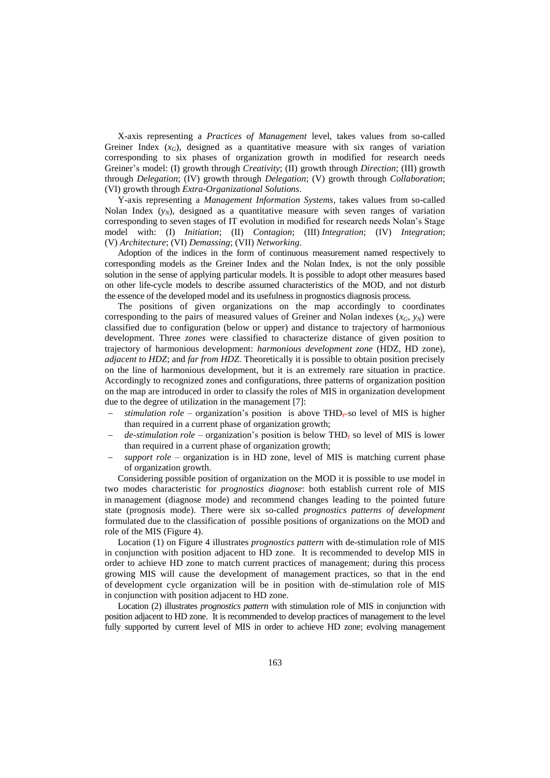X-axis representing a *Practices of Management* level, takes values from so-called Greiner Index  $(x_G)$ , designed as a quantitative measure with six ranges of variation corresponding to six phases of organization growth in modified for research needs Greiner's model: (I) growth through *Creativity*; (II) growth through *Direction*; (III) growth through *Delegation*; (IV) growth through *Delegation*; (V) growth through *Collaboration*; (VI) growth through *Extra*-*Organizational Solutions*.

Y-axis representing a *Management Information Systems,* takes values from so-called Nolan Index  $(y_N)$ , designed as a quantitative measure with seven ranges of variation corresponding to seven stages of IT evolution in modified for research needs Nolan's Stage model with: (I) *Initiation*; (II) *Contagion*; (III) *Integration*; (IV) *Integration*; (V) *Architecture*; (VI) *Demassing*; (VII) *Networking*.

Adoption of the indices in the form of continuous measurement named respectively to corresponding models as the Greiner Index and the Nolan Index, is not the only possible solution in the sense of applying particular models. It is possible to adopt other measures based on other life-cycle models to describe assumed characteristics of the MOD, and not disturb the essence of the developed model and its usefulness in prognostics diagnosis process.

The positions of given organizations on the map accordingly to coordinates corresponding to the pairs of measured values of Greiner and Nolan indexes  $(x_G, y_N)$  were classified due to configuration (below or upper) and distance to trajectory of harmonious development. Three *zones* were classified to characterize distance of given position to trajectory of harmonious development: *harmonious development zone* (HDZ, HD zone), *adjacent to HDZ*; and *far from HDZ*. Theoretically it is possible to obtain position precisely on the line of harmonious development, but it is an extremely rare situation in practice. Accordingly to recognized zones and configurations, three patterns of organization position on the map are introduced in order to classify the roles of MIS in organization development due to the degree of utilization in the management [7]:

- *stimulation role* organization's position is above THD, so level of MIS is higher than required in a current phase of organization growth;
- *de-stimulation role* organization's position is below THD, so level of MIS is lower than required in a current phase of organization growth;
- *support role* organization is in HD zone, level of MIS is matching current phase of organization growth.

Considering possible position of organization on the MOD it is possible to use model in two modes characteristic for *prognostics diagnose*: both establish current role of MIS in management (diagnose mode) and recommend changes leading to the pointed future state (prognosis mode). There were six so-called *prognostics patterns of development* formulated due to the classification of possible positions of organizations on the MOD and role of the MIS (Figure 4).

Location (1) on Figure 4 illustrates *prognostics pattern* with de-stimulation role of MIS in conjunction with position adjacent to HD zone. It is recommended to develop MIS in order to achieve HD zone to match current practices of management; during this process growing MIS will cause the development of management practices, so that in the end of development cycle organization will be in position with de-stimulation role of MIS in conjunction with position adjacent to HD zone.

Location (2) illustrates *prognostics pattern* with stimulation role of MIS in conjunction with position adjacent to HD zone. It is recommended to develop practices of management to the level fully supported by current level of MIS in order to achieve HD zone; evolving management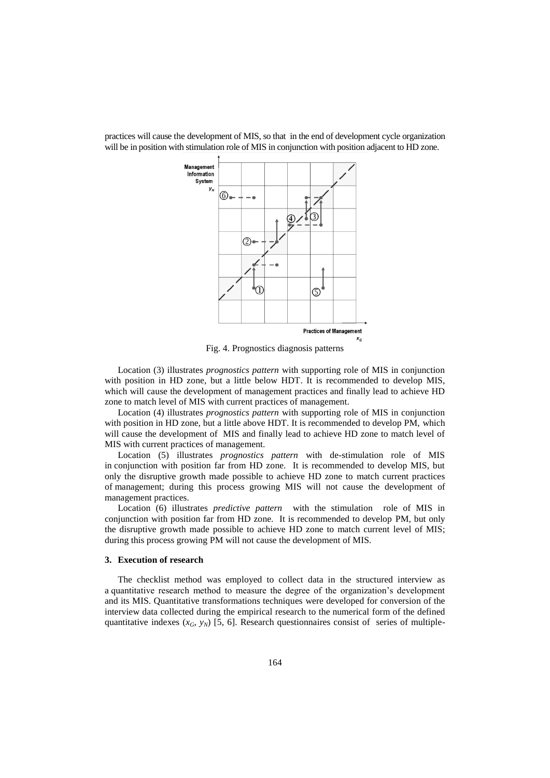

practices will cause the development of MIS, so that in the end of development cycle organization will be in position with stimulation role of MIS in conjunction with position adjacent to HD zone.

Fig. 4. Prognostics diagnosis patterns

Location (3) illustrates *prognostics pattern* with supporting role of MIS in conjunction with position in HD zone, but a little below HDT. It is recommended to develop MIS, which will cause the development of management practices and finally lead to achieve HD zone to match level of MIS with current practices of management.

Location (4) illustrates *prognostics pattern* with supporting role of MIS in conjunction with position in HD zone, but a little above HDT. It is recommended to develop PM, which will cause the development of MIS and finally lead to achieve HD zone to match level of MIS with current practices of management.

Location (5) illustrates *prognostics pattern* with de-stimulation role of MIS in conjunction with position far from HD zone. It is recommended to develop MIS, but only the disruptive growth made possible to achieve HD zone to match current practices of management; during this process growing MIS will not cause the development of management practices.

Location (6) illustrates *predictive pattern* with the stimulation role of MIS in conjunction with position far from HD zone. It is recommended to develop PM, but only the disruptive growth made possible to achieve HD zone to match current level of MIS; during this process growing PM will not cause the development of MIS.

### **3. Execution of research**

The checklist method was employed to collect data in the structured interview as a quantitative research method to measure the degree of the organization's development and its MIS. Quantitative transformations techniques were developed for conversion of the interview data collected during the empirical research to the numerical form of the defined quantitative indexes  $(x_G, y_N)$  [5, 6]. Research questionnaires consist of series of multiple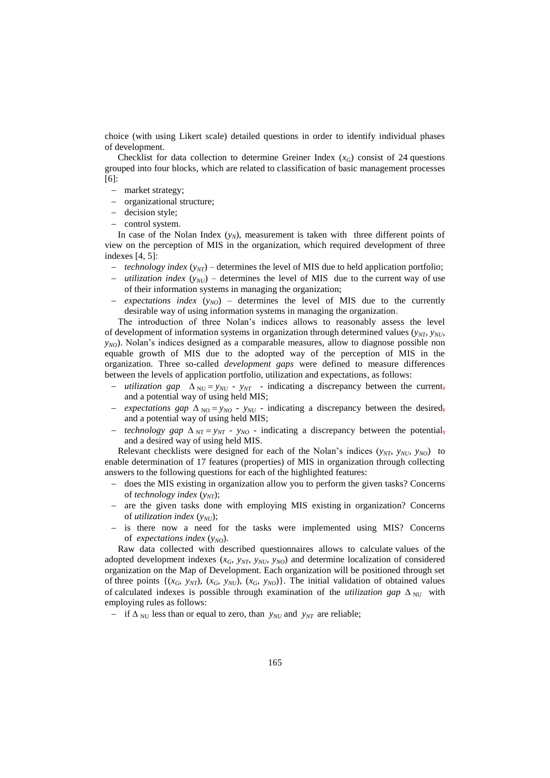choice (with using Likert scale) detailed questions in order to identify individual phases of development.

Checklist for data collection to determine Greiner Index  $(x_G)$  consist of 24 questions grouped into four blocks, which are related to classification of basic management processes [6]:

- market strategy;
- organizational structure;
- decision style;
- control system.

In case of the Nolan Index  $(y_N)$ , measurement is taken with three different points of view on the perception of MIS in the organization, which required development of three indexes [4, 5]:

- *technology index*  $(y_{NT})$  determines the level of MIS due to held application portfolio;
- *utilization index* ( $y_{NU}$ ) determines the level of MIS due to the current way of use of their information systems in managing the organization;
- *expectations index* ( $y_{NO}$ ) determines the level of MIS due to the currently desirable way of using information systems in managing the organization.

The introduction of three Nolan's indices allows to reasonably assess the level of development of information systems in organization through determined values  $(y_{NT}, y_{NU},$  $y_{NO}$ ). Nolan's indices designed as a comparable measures, allow to diagnose possible non equable growth of MIS due to the adopted way of the perception of MIS in the organization. Three so-called *development gaps* were defined to measure differences between the levels of application portfolio, utilization and expectations, as follows:

- *utilization gap*  $\Delta_{NU} = y_{NU} y_{NT}$  indicating a discrepancy between the current, and a potential way of using held MIS;
- *expectations gap*  $\Delta_{NO} = y_{NO} y_{NU}$  *-* indicating a discrepancy between the desired, and a potential way of using held MIS;
- *technology gap*  $\Delta_{NT} = y_{NT} y_{NO}$  indicating a discrepancy between the potential, and a desired way of using held MIS.

Relevant checklists were designed for each of the Nolan's indices  $(y_{NT}, y_{NU}, y_{NO})$  to enable determination of 17 features (properties) of MIS in organization through collecting answers to the following questions for each of the highlighted features:

- does the MIS existing in organization allow you to perform the given tasks? Concerns of *technology index* ( $y<sub>NT</sub>$ );
- are the given tasks done with employing MIS existing in organization? Concerns of *utilization index* ( $y_{NU}$ );
- is there now a need for the tasks were implemented using MIS? Concerns of *expectations index*  $(y_{NO})$ .

Raw data collected with described questionnaires allows to calculate values of the adopted development indexes  $(x_G, y_{NT}, y_{NU}, y_{NO})$  and determine localization of considered organization on the Map of Development. Each organization will be positioned through set of three points  $\{(x_G, y_{NT}), (x_G, y_{NU}), (x_G, y_{NO})\}$ . The initial validation of obtained values of calculated indexes is possible through examination of the *utilization gap*  $\Delta_{\text{NU}}$  with employing rules as follows:

 $\sim$  if  $\Delta_{\text{NU}}$  less than or equal to zero, than *y<sub>NU</sub>* and *y<sub>NT</sub>* are reliable;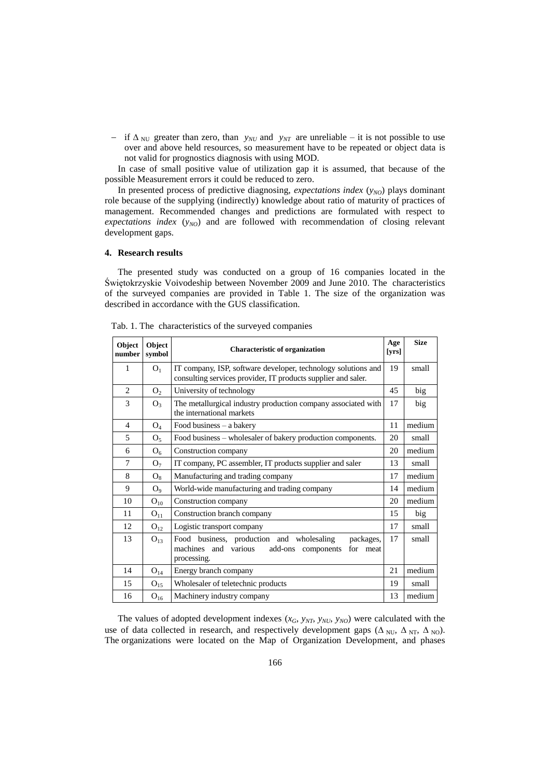$\frac{1}{\sqrt{N}}$  if  $\Delta_{\text{NII}}$  greater than zero, than *y<sub>NU</sub>* and *y<sub>NT</sub>* are unreliable – it is not possible to use over and above held resources, so measurement have to be repeated or object data is not valid for prognostics diagnosis with using MOD.

In case of small positive value of utilization gap it is assumed, that because of the possible Measurement errors it could be reduced to zero.

In presented process of predictive diagnosing, *expectations index*  $(y_{NO})$  plays dominant role because of the supplying (indirectly) knowledge about ratio of maturity of practices of management. Recommended changes and predictions are formulated with respect to *expectations index* ( $y_{NO}$ ) and are followed with recommendation of closing relevant development gaps.

### **4. Research results**

The presented study was conducted on a group of 16 companies located in the Świętokrzyskie Voivodeship between November 2009 and June 2010. The characteristics of the surveyed companies are provided in Table 1. The size of the organization was described in accordance with the GUS classification.

| Object<br>number | Object<br>symbol | <b>Characteristic of organization</b>                                                                                                 | Age<br>[yrs] | <b>Size</b> |
|------------------|------------------|---------------------------------------------------------------------------------------------------------------------------------------|--------------|-------------|
| 1                | O <sub>1</sub>   | IT company, ISP, software developer, technology solutions and<br>consulting services provider, IT products supplier and saler.        | 19           | small       |
| 2                | O <sub>2</sub>   | University of technology                                                                                                              | 45           | big         |
| 3                | O <sub>3</sub>   | The metallurgical industry production company associated with<br>the international markets                                            | 17           | big         |
| $\overline{4}$   | O <sub>4</sub>   | Food business - a bakery                                                                                                              | 11           | medium      |
| 5                | O <sub>5</sub>   | Food business – wholesaler of bakery production components.                                                                           | 20           | small       |
| 6                | O <sub>6</sub>   | Construction company                                                                                                                  | 20           | medium      |
| 7                | O <sub>7</sub>   | IT company, PC assembler, IT products supplier and saler                                                                              | 13           | small       |
| 8                | $O_8$            | Manufacturing and trading company                                                                                                     | 17           | medium      |
| 9                | $O_{\rm q}$      | World-wide manufacturing and trading company                                                                                          | 14           | medium      |
| 10               | $O_{10}$         | Construction company                                                                                                                  | 20           | medium      |
| 11               | $O_{11}$         | Construction branch company                                                                                                           | 15           | big         |
| 12               | $O_{12}$         | Logistic transport company                                                                                                            | 17           | small       |
| 13               | $O_{13}$         | Food business, production and wholesaling<br>packages,<br>machines and various<br>add-ons<br>for<br>meat<br>components<br>processing. | 17           | small       |
| 14               | $O_{14}$         | Energy branch company                                                                                                                 | 21           | medium      |
| 15               | $O_{15}$         | Wholesaler of teletechnic products                                                                                                    | 19           | small       |
| 16               | $O_{16}$         | Machinery industry company                                                                                                            | 13           | medium      |

Tab. 1. The characteristics of the surveyed companies

The values of adopted development indexes  $(x_G, y_{NT}, y_{NU}, y_{NO})$  were calculated with the use of data collected in research, and respectively development gaps ( $\Delta_{\text{NU}}, \Delta_{\text{NT}}, \Delta_{\text{NO}}$ ). The organizations were located on the Map of Organization Development, and phases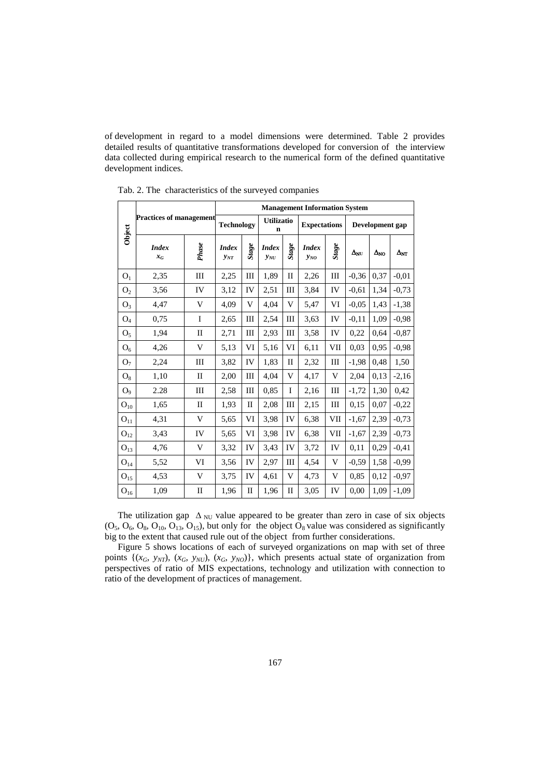of development in regard to a model dimensions were determined. Table 2 provides detailed results of quantitative transformations developed for conversion of the interview data collected during empirical research to the numerical form of the defined quantitative development indices.

| Object            | <b>Practices of management</b> |              | <b>Management Information System</b> |                  |                          |                 |                          |                  |                   |                   |                   |
|-------------------|--------------------------------|--------------|--------------------------------------|------------------|--------------------------|-----------------|--------------------------|------------------|-------------------|-------------------|-------------------|
|                   |                                |              | <b>Technology</b>                    |                  | <b>Utilizatio</b><br>n   |                 | <b>Expectations</b>      |                  | Development gap   |                   |                   |
|                   | <b>Index</b><br>$x_G$          | Phase        | <b>Index</b><br>$y_{NT}$             | $\mathit{Stage}$ | <b>Index</b><br>$y_{NU}$ | $S \iota a g e$ | <b>Index</b><br>$y_{NO}$ | $\mathit{Stage}$ | $\Delta_{\rm NU}$ | $\Delta_{\rm NO}$ | $\Delta_{\rm NT}$ |
| O <sub>1</sub>    | 2,35                           | III          | 2,25                                 | III              | 1,89                     | $\mathbf{I}$    | 2,26                     | III              | $-0.36$           | 0,37              | $-0.01$           |
| $\mathrm{O}_2$    | 3,56                           | IV           | 3,12                                 | IV               | 2,51                     | III             | 3,84                     | IV               | $-0.61$           | 1.34              | $-0.73$           |
| $O_3$             | 4,47                           | V            | 4,09                                 | V                | 4,04                     | V               | 5,47                     | VI               | $-0.05$           | 1,43              | $-1,38$           |
| O <sub>4</sub>    | 0,75                           | I            | 2,65                                 | Ш                | 2,54                     | Ш               | 3.63                     | IV               | $-0.11$           | 1,09              | $-0.98$           |
| O <sub>5</sub>    | 1,94                           | П            | 2,71                                 | Ш                | 2,93                     | III             | 3,58                     | IV               | 0,22              | 0.64              | $-0.87$           |
| O <sub>6</sub>    | 4,26                           | V            | 5,13                                 | VI               | 5,16                     | VI              | 6,11                     | VII              | 0.03              | 0.95              | $-0.98$           |
| O <sub>7</sub>    | 2,24                           | Ш            | 3,82                                 | IV               | 1,83                     | $\mathbf{I}$    | 2,32                     | Ш                | $-1,98$           | 0.48              | 1,50              |
| $O_8$             | 1,10                           | $\mathbf{I}$ | 2,00                                 | III              | 4,04                     | V               | 4,17                     | V                | 2,04              | 0.13              | $-2,16$           |
| O <sub>9</sub>    | 2.28                           | Ш            | 2,58                                 | III              | 0.85                     | I               | 2,16                     | III              | $-1,72$           | 1,30              | 0.42              |
| ${\cal O}_{10}$   | 1,65                           | П            | 1,93                                 | П                | 2,08                     | III             | 2,15                     | Ш                | 0.15              | 0,07              | $-0,22$           |
| ${\bf O}_{11}$    | 4,31                           | V            | 5,65                                 | VI               | 3.98                     | IV              | 6,38                     | VII              | $-1,67$           | 2,39              | $-0,73$           |
| $\mathrm{O}_{12}$ | 3,43                           | IV           | 5,65                                 | VI               | 3,98                     | IV              | 6,38                     | VII              | $-1,67$           | 2,39              | $-0.73$           |
| $\mathrm{O}_{13}$ | 4,76                           | V            | 3,32                                 | IV               | 3,43                     | IV              | 3,72                     | IV               | 0,11              | 0,29              | $-0,41$           |
| $\mathrm{O}_{14}$ | 5,52                           | VI           | 3,56                                 | IV               | 2,97                     | III             | 4,54                     | V                | $-0.59$           | 1,58              | $-0.99$           |
| ${\rm O_{15}}$    | 4,53                           | V            | 3,75                                 | IV               | 4,61                     | V               | 4,73                     | V                | 0.85              | 0,12              | $-0,97$           |
| $\mathrm{O}_{16}$ | 1,09                           | $\mathbf{I}$ | 1,96                                 | П                | 1,96                     | П               | 3,05                     | IV               | 0,00              | 1,09              | $-1,09$           |

Tab. 2. The characteristics of the surveyed companies

The utilization gap  $\Delta_{\text{NU}}$  value appeared to be greater than zero in case of six objects  $(O_5, O_6, O_8, O_{10}, O_{13}, O_{15})$ , but only for the object  $O_8$  value was considered as significantly big to the extent that caused rule out of the object from further considerations.

Figure 5 shows locations of each of surveyed organizations on map with set of three points  $\{(x_G, y_{NT}), (x_G, y_{NU}), (x_G, y_{NO})\}$ , which presents actual state of organization from perspectives of ratio of MIS expectations, technology and utilization with connection to ratio of the development of practices of management.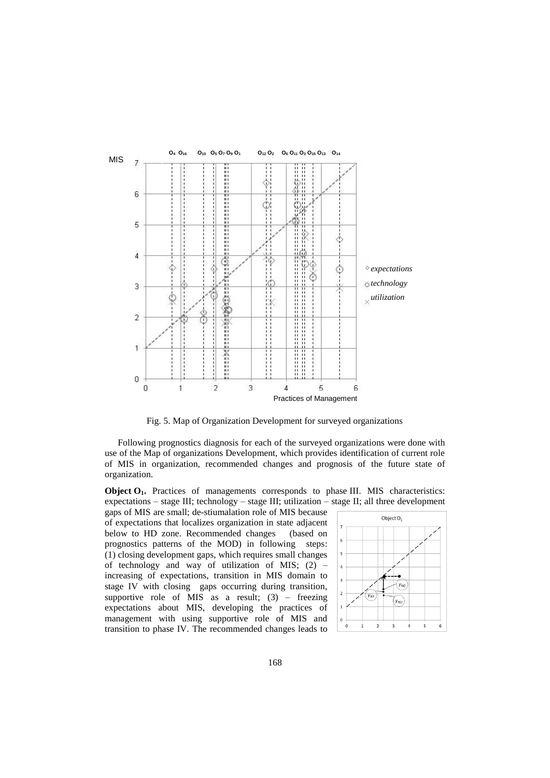

Fig. 5. Map of Organization Development for surveyed organizations

Following prognostics diagnosis for each of the surveyed organizations were done with use of the Map of organizations Development, which provides identification of current role of MIS in organization, recommended changes and prognosis of the future state of organization.

**Object O<sub>1</sub>.** Practices of managements corresponds to phase III. MIS characteristics: expectations – stage III; technology – stage III; utilization – stage II; all three development

gaps of MIS are small; de-stiumalation role of MIS because of expectations that localizes organization in state adjacent below to HD zone. Recommended changes (based on prognostics patterns of the MOD) in following steps: (1) closing development gaps, which requires small changes of technology and way of utilization of MIS;  $(2)$  – increasing of expectations, transition in MIS domain to stage IV with closing gaps occurring during transition, supportive role of MIS as a result;  $(3)$  – freezing expectations about MIS, developing the practices of management with using supportive role of MIS and transition to phase IV. The recommended changes leads to

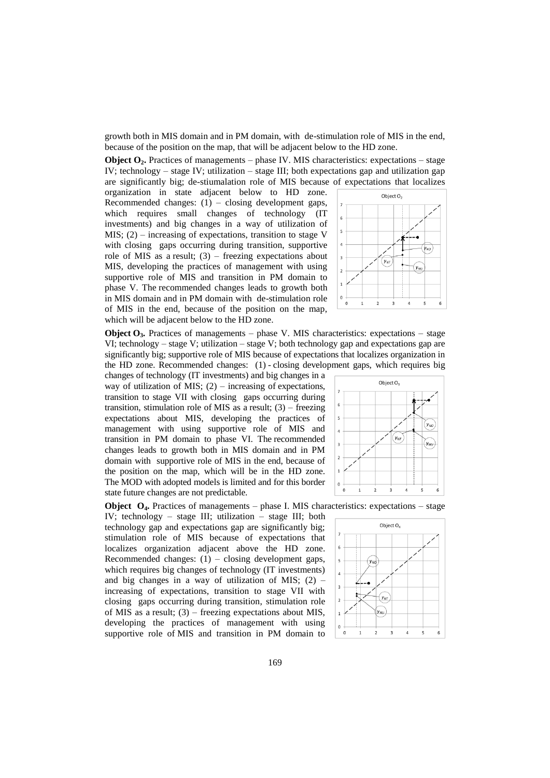growth both in MIS domain and in PM domain, with de-stimulation role of MIS in the end, because of the position on the map, that will be adjacent below to the HD zone.

**Object O2.** Practices of managements – phase IV. MIS characteristics: expectations – stage IV; technology – stage IV; utilization – stage III; both expectations gap and utilization gap are significantly big; de-stiumalation role of MIS because of expectations that localizes

organization in state adjacent below to HD zone. Recommended changes:  $(1)$  – closing development gaps, which requires small changes of technology (IT investments) and big changes in a way of utilization of MIS;  $(2)$  – increasing of expectations, transition to stage V with closing gaps occurring during transition, supportive role of MIS as a result;  $(3)$  – freezing expectations about MIS, developing the practices of management with using supportive role of MIS and transition in PM domain to phase V. The recommended changes leads to growth both in MIS domain and in PM domain with de-stimulation role of MIS in the end, because of the position on the map, which will be adjacent below to the HD zone.



**Object**  $O_3$ **. Practices of managements – phase V. MIS characteristics: expectations – stage** VI; technology – stage V; utilization – stage V; both technology gap and expectations gap are significantly big; supportive role of MIS because of expectations that localizes organization in the HD zone. Recommended changes: (1) - closing development gaps, which requires big

changes of technology (IT investments) and big changes in a way of utilization of MIS;  $(2)$  – increasing of expectations, transition to stage VII with closing gaps occurring during transition, stimulation role of MIS as a result;  $(3)$  – freezing expectations about MIS, developing the practices of management with using supportive role of MIS and transition in PM domain to phase VI. The recommended changes leads to growth both in MIS domain and in PM domain with supportive role of MIS in the end, because of the position on the map, which will be in the HD zone. The MOD with adopted models is limited and for this border state future changes are not predictable.

**Object O4.** Practices of managements – phase I. MIS characteristics: expectations – stage

IV; technology – stage III; utilization – stage III; both technology gap and expectations gap are significantly big; stimulation role of MIS because of expectations that localizes organization adjacent above the HD zone. Recommended changes:  $(1)$  – closing development gaps, which requires big changes of technology (IT investments) and big changes in a way of utilization of MIS;  $(2)$  – increasing of expectations, transition to stage VII with closing gaps occurring during transition, stimulation role of MIS as a result; (3) – freezing expectations about MIS, developing the practices of management with using supportive role of MIS and transition in PM domain to



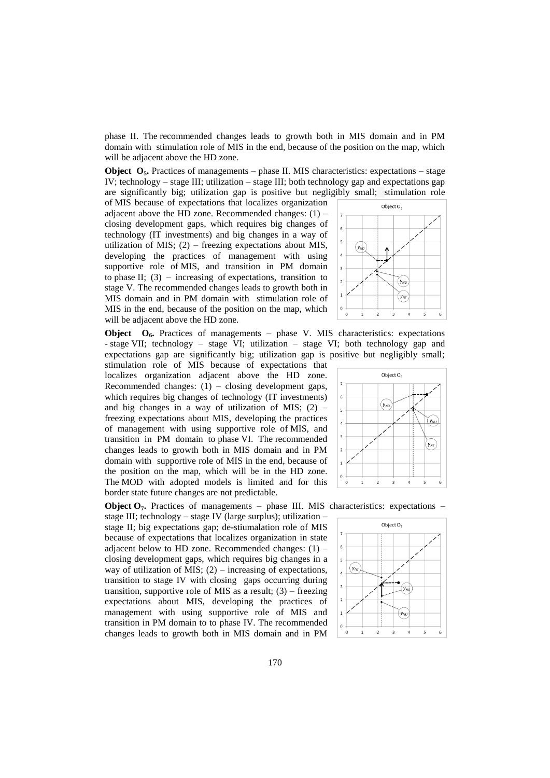phase II. The recommended changes leads to growth both in MIS domain and in PM domain with stimulation role of MIS in the end, because of the position on the map, which will be adjacent above the HD zone.

**Object O<sub>5</sub>**. Practices of managements – phase II. MIS characteristics: expectations – stage IV; technology – stage III; utilization – stage III; both technology gap and expectations gap are significantly big; utilization gap is positive but negligibly small; stimulation role

of MIS because of expectations that localizes organization adjacent above the HD zone. Recommended changes:  $(1)$  – closing development gaps, which requires big changes of technology (IT investments) and big changes in a way of utilization of MIS;  $(2)$  – freezing expectations about MIS, developing the practices of management with using supportive role of MIS, and transition in PM domain to phase II;  $(3)$  – increasing of expectations, transition to stage V. The recommended changes leads to growth both in MIS domain and in PM domain with stimulation role of MIS in the end, because of the position on the map, which will be adjacent above the HD zone.



**Object O6.** Practices of managements – phase V. MIS characteristics: expectations - stage VII; technology – stage VI; utilization – stage VI; both technology gap and expectations gap are significantly big; utilization gap is positive but negligibly small;

stimulation role of MIS because of expectations that localizes organization adjacent above the HD zone. Recommended changes:  $(1)$  – closing development gaps, which requires big changes of technology (IT investments) and big changes in a way of utilization of MIS;  $(2)$  – freezing expectations about MIS, developing the practices of management with using supportive role of MIS, and transition in PM domain to phase VI. The recommended changes leads to growth both in MIS domain and in PM domain with supportive role of MIS in the end, because of the position on the map, which will be in the HD zone. The MOD with adopted models is limited and for this border state future changes are not predictable.

**Object O<sub>7</sub>**. Practices of managements – phase III. MIS characteristics: expectations – stage III; technology – stage IV (large surplus); utilization –

stage II; big expectations gap; de-stiumalation role of MIS because of expectations that localizes organization in state adjacent below to HD zone. Recommended changes:  $(1)$  – closing development gaps, which requires big changes in a way of utilization of MIS;  $(2)$  – increasing of expectations, transition to stage IV with closing gaps occurring during transition, supportive role of MIS as a result;  $(3)$  – freezing expectations about MIS, developing the practices of management with using supportive role of MIS and transition in PM domain to to phase IV. The recommended changes leads to growth both in MIS domain and in PM



Object  $O_e$ 

 $y_{NU}$ 

'y<sub>Ni</sub>

 $\overline{\phantom{a}}$ 



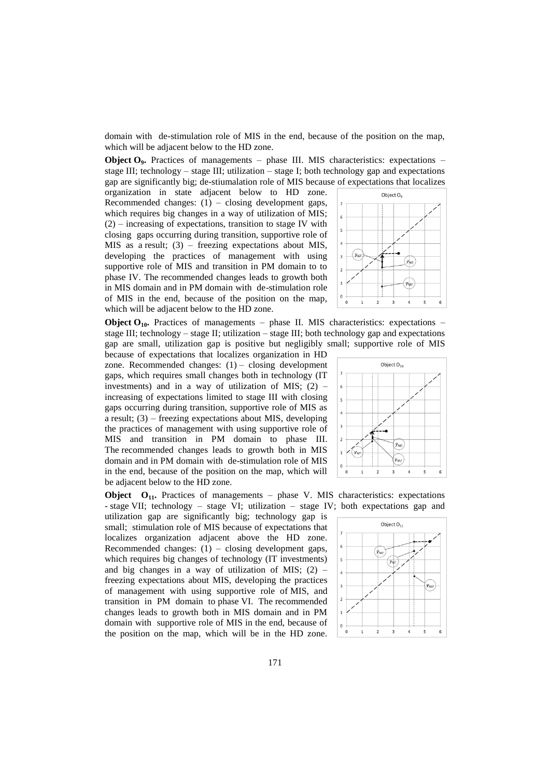domain with de-stimulation role of MIS in the end, because of the position on the map, which will be adjacent below to the HD zone.

**Object O<sub>9</sub>**. Practices of managements – phase III. MIS characteristics: expectations – stage III; technology – stage III; utilization – stage I; both technology gap and expectations gap are significantly big; de-stiumalation role of MIS because of expectations that localizes

organization in state adjacent below to HD zone. Recommended changes:  $(1)$  – closing development gaps, which requires big changes in a way of utilization of MIS;  $(2)$  – increasing of expectations, transition to stage IV with closing gaps occurring during transition, supportive role of MIS as a result; (3) – freezing expectations about MIS, developing the practices of management with using supportive role of MIS and transition in PM domain to to phase IV. The recommended changes leads to growth both in MIS domain and in PM domain with de-stimulation role of MIS in the end, because of the position on the map, which will be adjacent below to the HD zone.

Object O<sub>o</sub>  $\overline{\phantom{a}}$  $(y_{\Lambda})$ y∖π

**Object**  $O_{10}$ **.** Practices of managements – phase II. MIS characteristics: expectations – stage III; technology – stage II; utilization – stage III; both technology gap and expectations gap are small, utilization gap is positive but negligibly small; supportive role of MIS

because of expectations that localizes organization in HD zone. Recommended changes:  $(1)$  – closing development gaps, which requires small changes both in technology (IT investments) and in a way of utilization of MIS;  $(2)$  – increasing of expectations limited to stage III with closing gaps occurring during transition, supportive role of MIS as a result; (3) – freezing expectations about MIS, developing the practices of management with using supportive role of MIS and transition in PM domain to phase III. The recommended changes leads to growth both in MIS domain and in PM domain with de-stimulation role of MIS in the end, because of the position on the map, which will be adjacent below to the HD zone.



**Object O11.** Practices of managements – phase V. MIS characteristics: expectations - stage VII; technology – stage VI; utilization – stage IV; both expectations gap and

utilization gap are significantly big; technology gap is small; stimulation role of MIS because of expectations that localizes organization adjacent above the HD zone. Recommended changes:  $(1)$  – closing development gaps, which requires big changes of technology (IT investments) and big changes in a way of utilization of MIS;  $(2)$  – freezing expectations about MIS, developing the practices of management with using supportive role of MIS, and transition in PM domain to phase VI. The recommended changes leads to growth both in MIS domain and in PM domain with supportive role of MIS in the end, because of the position on the map, which will be in the HD zone.

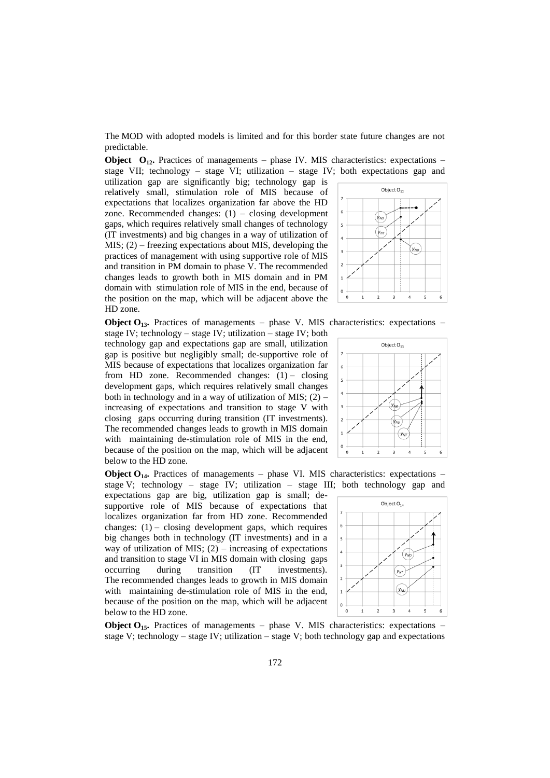The MOD with adopted models is limited and for this border state future changes are not predictable.

**Object** O<sub>12</sub>**.** Practices of managements – phase IV. MIS characteristics: expectations – stage VII; technology – stage VI; utilization – stage IV; both expectations gap and

utilization gap are significantly big; technology gap is relatively small, stimulation role of MIS because of expectations that localizes organization far above the HD zone. Recommended changes:  $(1)$  – closing development gaps, which requires relatively small changes of technology (IT investments) and big changes in a way of utilization of MIS; (2) – freezing expectations about MIS, developing the practices of management with using supportive role of MIS and transition in PM domain to phase V. The recommended changes leads to growth both in MIS domain and in PM domain with stimulation role of MIS in the end, because of the position on the map, which will be adjacent above the HD zone.



**Object**  $O_{13}$ **.** Practices of managements – phase V. MIS characteristics: expectations –

stage IV; technology – stage IV; utilization – stage IV; both technology gap and expectations gap are small, utilization gap is positive but negligibly small; de-supportive role of MIS because of expectations that localizes organization far from HD zone. Recommended changes:  $(1)$  – closing development gaps, which requires relatively small changes both in technology and in a way of utilization of MIS;  $(2)$  – increasing of expectations and transition to stage V with closing gaps occurring during transition (IT investments). The recommended changes leads to growth in MIS domain with maintaining de-stimulation role of MIS in the end, because of the position on the map, which will be adjacent below to the HD zone.

**Object O<sub>14</sub>**. Practices of managements – phase VI. MIS characteristics: expectations – stage V; technology – stage IV; utilization – stage III; both technology gap and

expectations gap are big, utilization gap is small; desupportive role of MIS because of expectations that localizes organization far from HD zone. Recommended changes:  $(1)$  – closing development gaps, which requires big changes both in technology (IT investments) and in a way of utilization of MIS;  $(2)$  – increasing of expectations and transition to stage VI in MIS domain with closing gaps occurring during transition (IT investments). The recommended changes leads to growth in MIS domain with maintaining de-stimulation role of MIS in the end, because of the position on the map, which will be adjacent below to the HD zone.



**Object O<sub>15</sub>**. Practices of managements – phase V. MIS characteristics: expectations – stage V; technology – stage IV; utilization – stage V; both technology gap and expectations

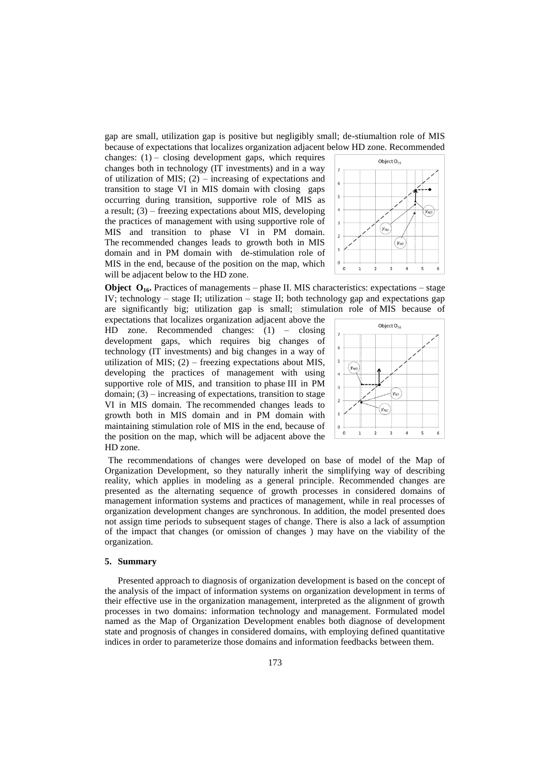gap are small, utilization gap is positive but negligibly small; de-stiumaltion role of MIS because of expectations that localizes organization adjacent below HD zone. Recommended

changes:  $(1)$  – closing development gaps, which requires changes both in technology (IT investments) and in a way of utilization of MIS;  $(2)$  – increasing of expectations and transition to stage VI in MIS domain with closing gaps occurring during transition, supportive role of MIS as a result;  $(3)$  – freezing expectations about MIS, developing the practices of management with using supportive role of MIS and transition to phase VI in PM domain. The recommended changes leads to growth both in MIS domain and in PM domain with de-stimulation role of MIS in the end, because of the position on the map, which will be adjacent below to the HD zone.



**Object O<sub>16</sub>**. Practices of managements – phase II. MIS characteristics: expectations – stage IV; technology – stage II; utilization – stage II; both technology gap and expectations gap are significantly big; utilization gap is small; stimulation role of MIS because of

expectations that localizes organization adjacent above the HD zone. Recommended changes: (1) – closing development gaps, which requires big changes of technology (IT investments) and big changes in a way of utilization of MIS;  $(2)$  – freezing expectations about MIS, developing the practices of management with using supportive role of MIS, and transition to phase III in PM domain;  $(3)$  – increasing of expectations, transition to stage VI in MIS domain. The recommended changes leads to growth both in MIS domain and in PM domain with maintaining stimulation role of MIS in the end, because of the position on the map, which will be adjacent above the HD zone.



The recommendations of changes were developed on base of model of the Map of Organization Development, so they naturally inherit the simplifying way of describing reality, which applies in modeling as a general principle. Recommended changes are presented as the alternating sequence of growth processes in considered domains of management information systems and practices of management, while in real processes of organization development changes are synchronous. In addition, the model presented does not assign time periods to subsequent stages of change. There is also a lack of assumption of the impact that changes (or omission of changes ) may have on the viability of the organization.

#### **5. Summary**

Presented approach to diagnosis of organization development is based on the concept of the analysis of the impact of information systems on organization development in terms of their effective use in the organization management, interpreted as the alignment of growth processes in two domains: information technology and management. Formulated model named as the Map of Organization Development enables both diagnose of development state and prognosis of changes in considered domains, with employing defined quantitative indices in order to parameterize those domains and information feedbacks between them.